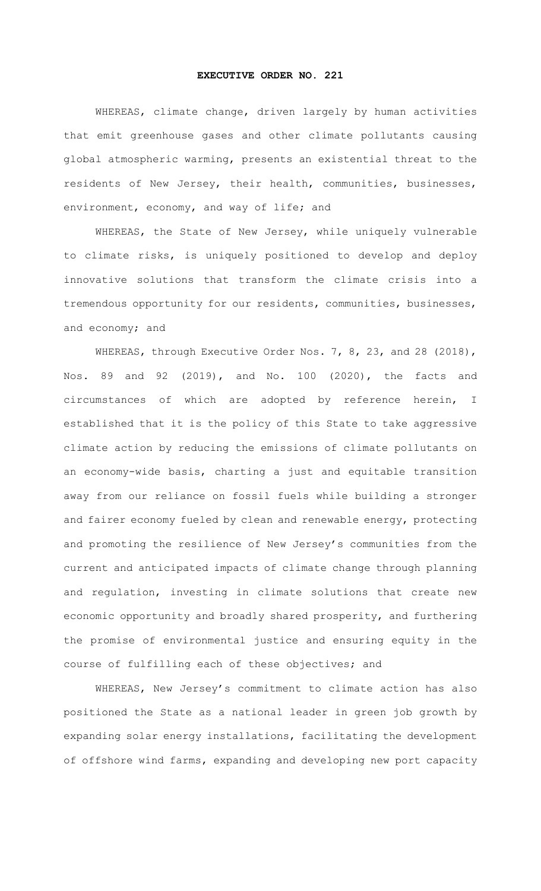## **EXECUTIVE ORDER NO. 221**

WHEREAS, climate change, driven largely by human activities that emit greenhouse gases and other climate pollutants causing global atmospheric warming, presents an existential threat to the residents of New Jersey, their health, communities, businesses, environment, economy, and way of life; and

WHEREAS, the State of New Jersey, while uniquely vulnerable to climate risks, is uniquely positioned to develop and deploy innovative solutions that transform the climate crisis into a tremendous opportunity for our residents, communities, businesses, and economy; and

WHEREAS, through Executive Order Nos. 7, 8, 23, and 28 (2018), Nos. 89 and 92 (2019), and No. 100 (2020), the facts and circumstances of which are adopted by reference herein, I established that it is the policy of this State to take aggressive climate action by reducing the emissions of climate pollutants on an economy-wide basis, charting a just and equitable transition away from our reliance on fossil fuels while building a stronger and fairer economy fueled by clean and renewable energy, protecting and promoting the resilience of New Jersey's communities from the current and anticipated impacts of climate change through planning and regulation, investing in climate solutions that create new economic opportunity and broadly shared prosperity, and furthering the promise of environmental justice and ensuring equity in the course of fulfilling each of these objectives; and

WHEREAS, New Jersey's commitment to climate action has also positioned the State as a national leader in green job growth by expanding solar energy installations, facilitating the development of offshore wind farms, expanding and developing new port capacity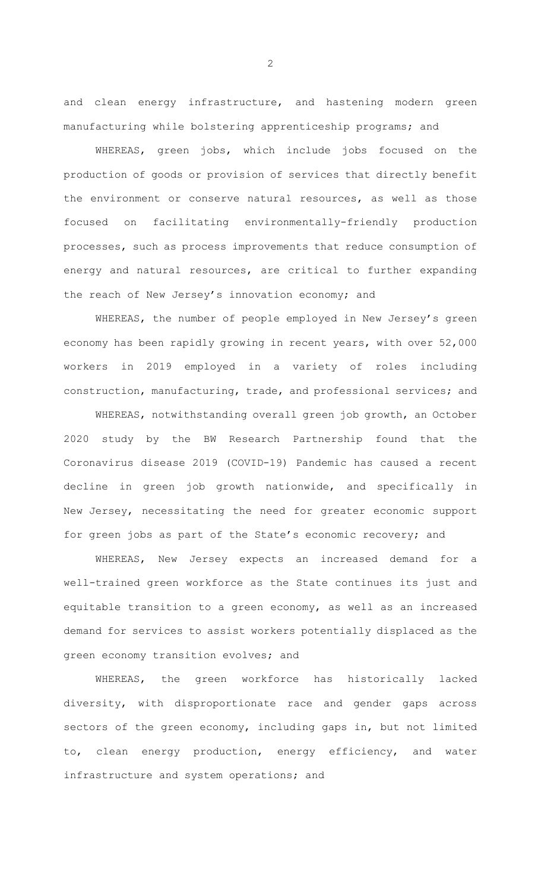and clean energy infrastructure, and hastening modern green manufacturing while bolstering apprenticeship programs; and

WHEREAS, green jobs, which include jobs focused on the production of goods or provision of services that directly benefit the environment or conserve natural resources, as well as those focused on facilitating environmentally-friendly production processes, such as process improvements that reduce consumption of energy and natural resources, are critical to further expanding the reach of New Jersey's innovation economy; and

WHEREAS, the number of people employed in New Jersey's green economy has been rapidly growing in recent years, with over 52,000 workers in 2019 employed in a variety of roles including construction, manufacturing, trade, and professional services; and

WHEREAS, notwithstanding overall green job growth, an October 2020 study by the BW Research Partnership found that the Coronavirus disease 2019 (COVID-19) Pandemic has caused a recent decline in green job growth nationwide, and specifically in New Jersey, necessitating the need for greater economic support for green jobs as part of the State's economic recovery; and

WHEREAS, New Jersey expects an increased demand for a well-trained green workforce as the State continues its just and equitable transition to a green economy, as well as an increased demand for services to assist workers potentially displaced as the green economy transition evolves; and

WHEREAS, the green workforce has historically lacked diversity, with disproportionate race and gender gaps across sectors of the green economy, including gaps in, but not limited to, clean energy production, energy efficiency, and water infrastructure and system operations; and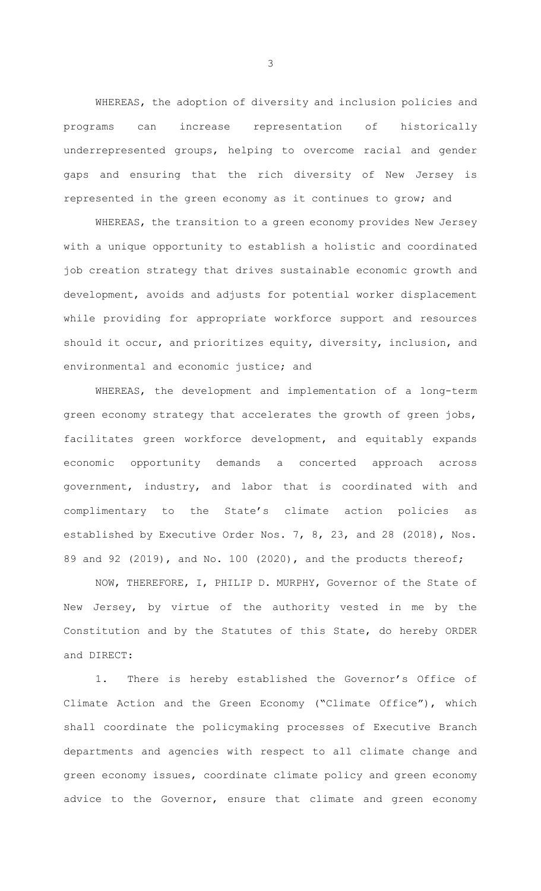WHEREAS, the adoption of diversity and inclusion policies and programs can increase representation of historically underrepresented groups, helping to overcome racial and gender gaps and ensuring that the rich diversity of New Jersey is represented in the green economy as it continues to grow; and

WHEREAS, the transition to a green economy provides New Jersey with a unique opportunity to establish a holistic and coordinated job creation strategy that drives sustainable economic growth and development, avoids and adjusts for potential worker displacement while providing for appropriate workforce support and resources should it occur, and prioritizes equity, diversity, inclusion, and environmental and economic justice; and

WHEREAS, the development and implementation of a long-term green economy strategy that accelerates the growth of green jobs, facilitates green workforce development, and equitably expands economic opportunity demands a concerted approach across government, industry, and labor that is coordinated with and complimentary to the State's climate action policies as established by Executive Order Nos. 7, 8, 23, and 28 (2018), Nos. 89 and 92 (2019), and No. 100 (2020), and the products thereof;

NOW, THEREFORE, I, PHILIP D. MURPHY, Governor of the State of New Jersey, by virtue of the authority vested in me by the Constitution and by the Statutes of this State, do hereby ORDER and DIRECT:

1. There is hereby established the Governor's Office of Climate Action and the Green Economy ("Climate Office"), which shall coordinate the policymaking processes of Executive Branch departments and agencies with respect to all climate change and green economy issues, coordinate climate policy and green economy advice to the Governor, ensure that climate and green economy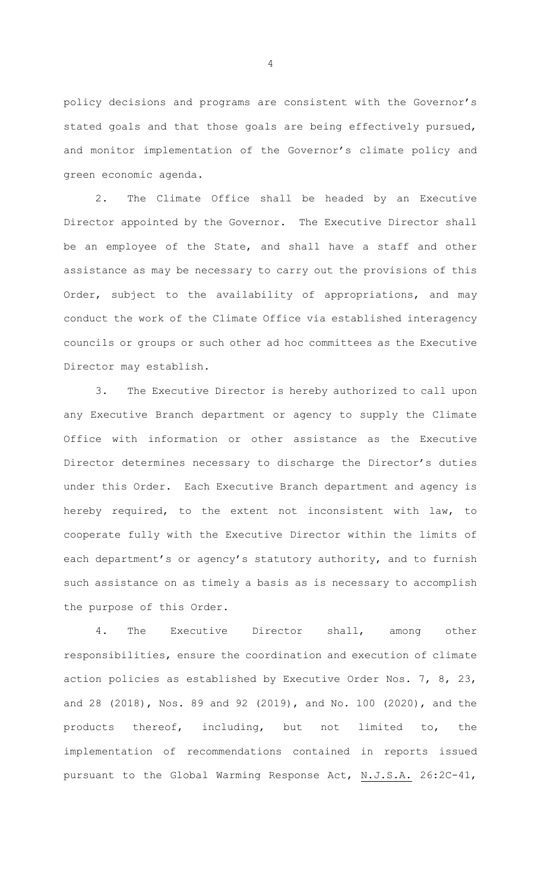policy decisions and programs are consistent with the Governor's stated goals and that those goals are being effectively pursued, and monitor implementation of the Governor's climate policy and green economic agenda.

2. The Climate Office shall be headed by an Executive Director appointed by the Governor. The Executive Director shall be an employee of the State, and shall have a staff and other assistance as may be necessary to carry out the provisions of this Order, subject to the availability of appropriations, and may conduct the work of the Climate Office via established interagency councils or groups or such other ad hoc committees as the Executive Director may establish.

3. The Executive Director is hereby authorized to call upon any Executive Branch department or agency to supply the Climate Office with information or other assistance as the Executive Director determines necessary to discharge the Director's duties under this Order. Each Executive Branch department and agency is hereby required, to the extent not inconsistent with law, to cooperate fully with the Executive Director within the limits of each department's or agency's statutory authority, and to furnish such assistance on as timely a basis as is necessary to accomplish the purpose of this Order.

4. The Executive Director shall, among other responsibilities, ensure the coordination and execution of climate action policies as established by Executive Order Nos. 7, 8, 23, and 28 (2018), Nos. 89 and 92 (2019), and No. 100 (2020), and the products thereof, including, but not limited to, the implementation of recommendations contained in reports issued pursuant to the Global Warming Response Act, N.J.S.A. 26:2C-41,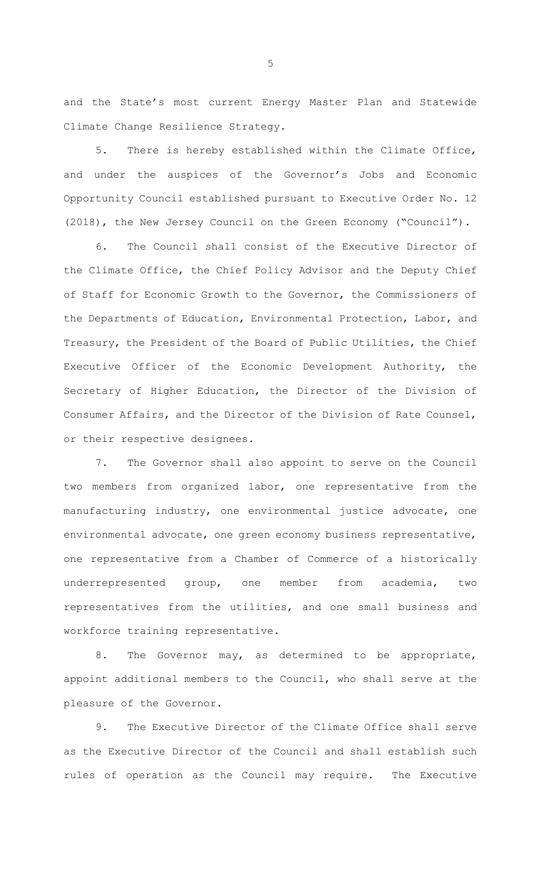and the State's most current Energy Master Plan and Statewide Climate Change Resilience Strategy.

5. There is hereby established within the Climate Office, and under the auspices of the Governor's Jobs and Economic Opportunity Council established pursuant to Executive Order No. 12 (2018), the New Jersey Council on the Green Economy ("Council").

6. The Council shall consist of the Executive Director of the Climate Office, the Chief Policy Advisor and the Deputy Chief of Staff for Economic Growth to the Governor, the Commissioners of the Departments of Education, Environmental Protection, Labor, and Treasury, the President of the Board of Public Utilities, the Chief Executive Officer of the Economic Development Authority, the Secretary of Higher Education, the Director of the Division of Consumer Affairs, and the Director of the Division of Rate Counsel, or their respective designees.

7. The Governor shall also appoint to serve on the Council two members from organized labor, one representative from the manufacturing industry, one environmental justice advocate, one environmental advocate, one green economy business representative, one representative from a Chamber of Commerce of a historically underrepresented group, one member from academia, two representatives from the utilities, and one small business and workforce training representative.

8. The Governor may, as determined to be appropriate, appoint additional members to the Council, who shall serve at the pleasure of the Governor.

9. The Executive Director of the Climate Office shall serve as the Executive Director of the Council and shall establish such rules of operation as the Council may require. The Executive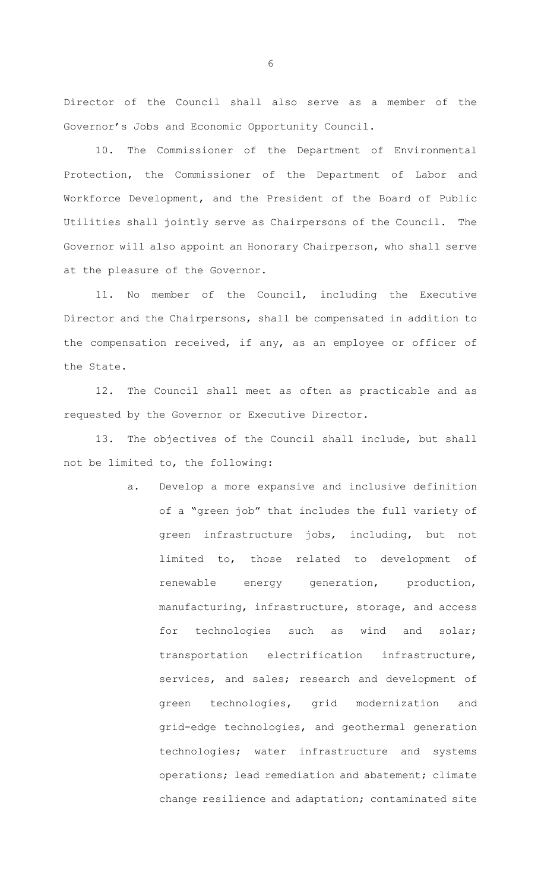Director of the Council shall also serve as a member of the Governor's Jobs and Economic Opportunity Council.

10. The Commissioner of the Department of Environmental Protection, the Commissioner of the Department of Labor and Workforce Development, and the President of the Board of Public Utilities shall jointly serve as Chairpersons of the Council. The Governor will also appoint an Honorary Chairperson, who shall serve at the pleasure of the Governor.

11. No member of the Council, including the Executive Director and the Chairpersons, shall be compensated in addition to the compensation received, if any, as an employee or officer of the State.

12. The Council shall meet as often as practicable and as requested by the Governor or Executive Director.

13. The objectives of the Council shall include, but shall not be limited to, the following:

> a. Develop a more expansive and inclusive definition of a "green job" that includes the full variety of green infrastructure jobs, including, but not limited to, those related to development of renewable energy generation, production, manufacturing, infrastructure, storage, and access for technologies such as wind and solar; transportation electrification infrastructure, services, and sales; research and development of green technologies, grid modernization and grid-edge technologies, and geothermal generation technologies; water infrastructure and systems operations; lead remediation and abatement; climate change resilience and adaptation; contaminated site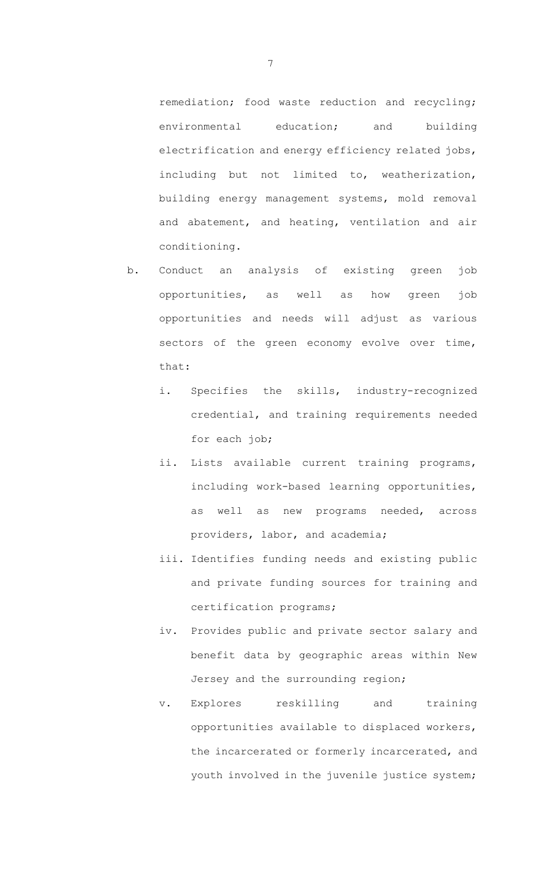remediation; food waste reduction and recycling; environmental education; and building electrification and energy efficiency related jobs, including but not limited to, weatherization, building energy management systems, mold removal and abatement, and heating, ventilation and air conditioning.

- b. Conduct an analysis of existing green job opportunities, as well as how green job opportunities and needs will adjust as various sectors of the green economy evolve over time, that:
	- i. Specifies the skills, industry-recognized credential, and training requirements needed for each job;
	- ii. Lists available current training programs, including work-based learning opportunities, as well as new programs needed, across providers, labor, and academia;
	- iii. Identifies funding needs and existing public and private funding sources for training and certification programs;
	- iv. Provides public and private sector salary and benefit data by geographic areas within New Jersey and the surrounding region;
	- v. Explores reskilling and training opportunities available to displaced workers, the incarcerated or formerly incarcerated, and youth involved in the juvenile justice system;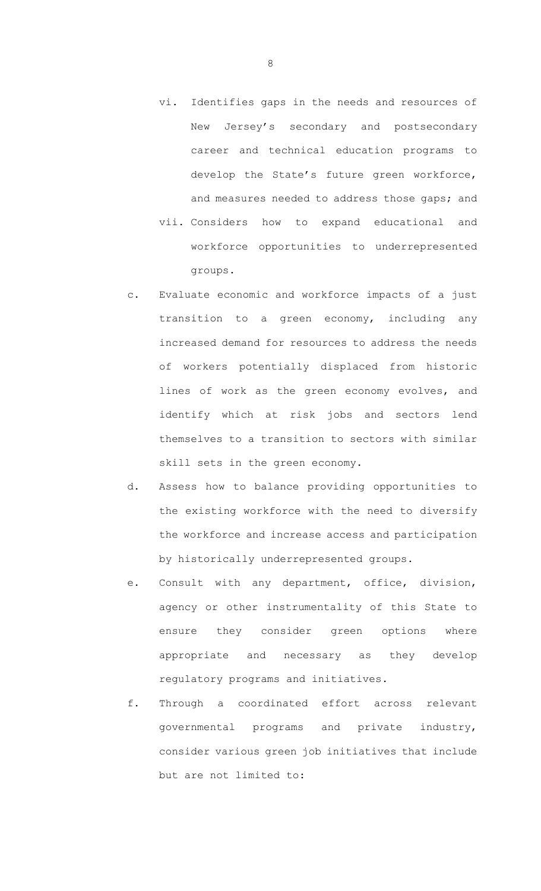- vi. Identifies gaps in the needs and resources of New Jersey's secondary and postsecondary career and technical education programs to develop the State's future green workforce, and measures needed to address those gaps; and
- vii. Considers how to expand educational and workforce opportunities to underrepresented groups.
- c. Evaluate economic and workforce impacts of a just transition to a green economy, including any increased demand for resources to address the needs of workers potentially displaced from historic lines of work as the green economy evolves, and identify which at risk jobs and sectors lend themselves to a transition to sectors with similar skill sets in the green economy.
- d. Assess how to balance providing opportunities to the existing workforce with the need to diversify the workforce and increase access and participation by historically underrepresented groups.
- e. Consult with any department, office, division, agency or other instrumentality of this State to ensure they consider green options where appropriate and necessary as they develop regulatory programs and initiatives.
- f. Through a coordinated effort across relevant governmental programs and private industry, consider various green job initiatives that include but are not limited to: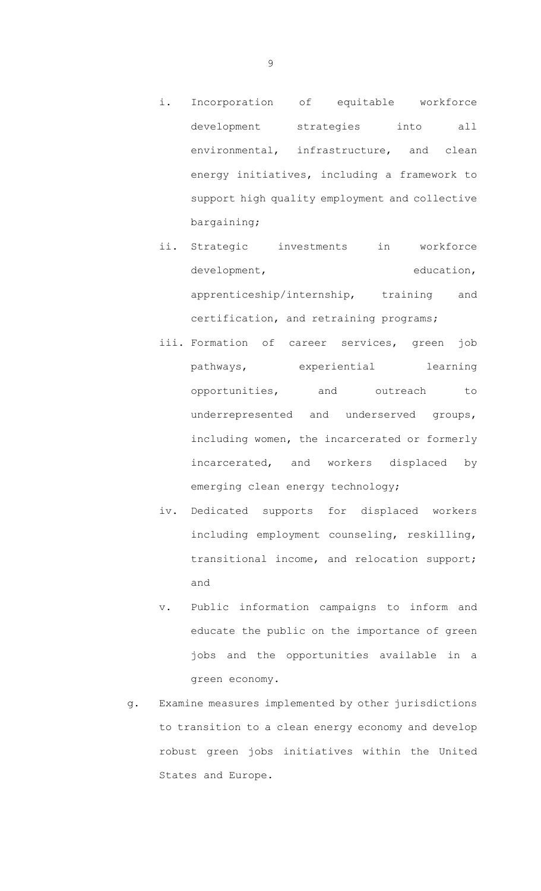- i. Incorporation of equitable workforce development strategies into all environmental, infrastructure, and clean energy initiatives, including a framework to support high quality employment and collective bargaining;
- ii. Strategic investments in workforce development, education, apprenticeship/internship, training and certification, and retraining programs;
- iii. Formation of career services, green job pathways, experiential learning opportunities, and outreach to underrepresented and underserved groups, including women, the incarcerated or formerly incarcerated, and workers displaced by emerging clean energy technology;
- iv. Dedicated supports for displaced workers including employment counseling, reskilling, transitional income, and relocation support; and
- v. Public information campaigns to inform and educate the public on the importance of green jobs and the opportunities available in a green economy.
- g. Examine measures implemented by other jurisdictions to transition to a clean energy economy and develop robust green jobs initiatives within the United States and Europe.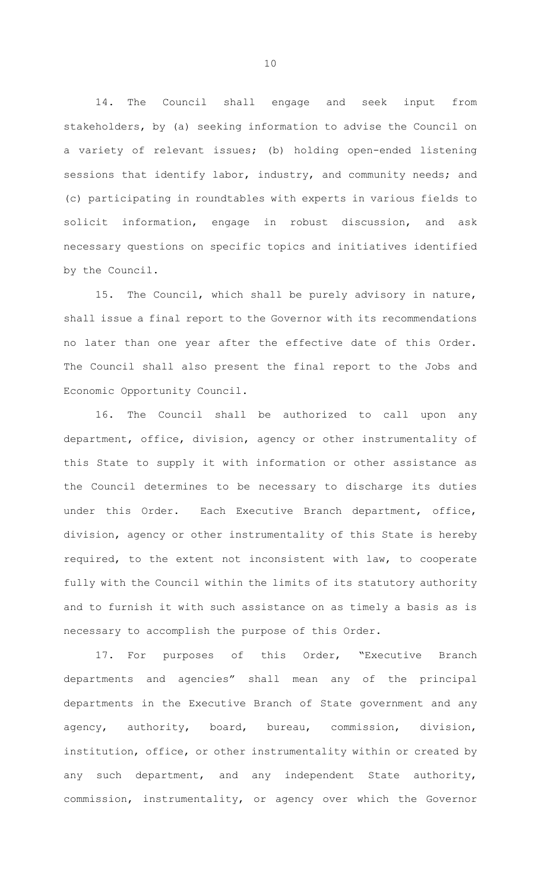14. The Council shall engage and seek input from stakeholders, by (a) seeking information to advise the Council on a variety of relevant issues; (b) holding open-ended listening sessions that identify labor, industry, and community needs; and (c) participating in roundtables with experts in various fields to solicit information, engage in robust discussion, and ask necessary questions on specific topics and initiatives identified by the Council.

15. The Council, which shall be purely advisory in nature, shall issue a final report to the Governor with its recommendations no later than one year after the effective date of this Order. The Council shall also present the final report to the Jobs and Economic Opportunity Council.

16. The Council shall be authorized to call upon any department, office, division, agency or other instrumentality of this State to supply it with information or other assistance as the Council determines to be necessary to discharge its duties under this Order. Each Executive Branch department, office, division, agency or other instrumentality of this State is hereby required, to the extent not inconsistent with law, to cooperate fully with the Council within the limits of its statutory authority and to furnish it with such assistance on as timely a basis as is necessary to accomplish the purpose of this Order.

17. For purposes of this Order, "Executive Branch departments and agencies" shall mean any of the principal departments in the Executive Branch of State government and any agency, authority, board, bureau, commission, division, institution, office, or other instrumentality within or created by any such department, and any independent State authority, commission, instrumentality, or agency over which the Governor